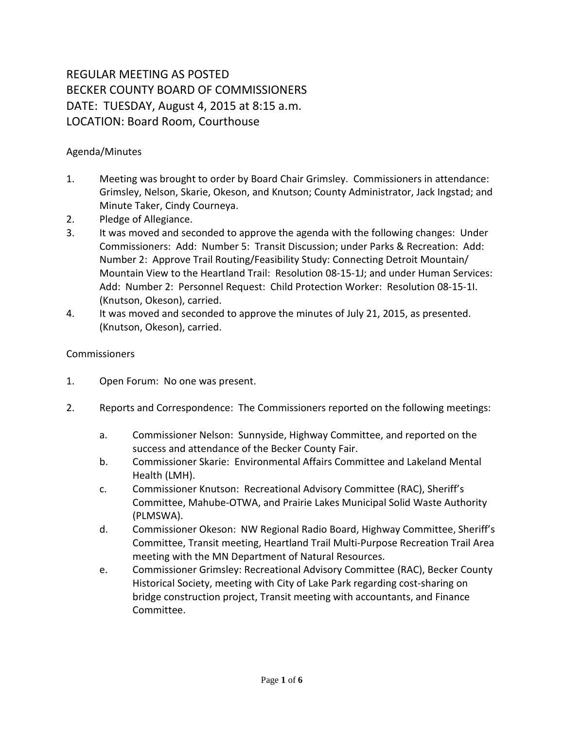## REGULAR MEETING AS POSTED BECKER COUNTY BOARD OF COMMISSIONERS DATE: TUESDAY, August 4, 2015 at 8:15 a.m. LOCATION: Board Room, Courthouse

## Agenda/Minutes

- 1. Meeting was brought to order by Board Chair Grimsley. Commissioners in attendance: Grimsley, Nelson, Skarie, Okeson, and Knutson; County Administrator, Jack Ingstad; and Minute Taker, Cindy Courneya.
- 2. Pledge of Allegiance.
- 3. It was moved and seconded to approve the agenda with the following changes: Under Commissioners: Add: Number 5: Transit Discussion; under Parks & Recreation: Add: Number 2: Approve Trail Routing/Feasibility Study: Connecting Detroit Mountain/ Mountain View to the Heartland Trail: Resolution 08-15-1J; and under Human Services: Add: Number 2: Personnel Request: Child Protection Worker: Resolution 08-15-1I. (Knutson, Okeson), carried.
- 4. It was moved and seconded to approve the minutes of July 21, 2015, as presented. (Knutson, Okeson), carried.

## Commissioners

- 1. Open Forum: No one was present.
- 2. Reports and Correspondence: The Commissioners reported on the following meetings:
	- a. Commissioner Nelson: Sunnyside, Highway Committee, and reported on the success and attendance of the Becker County Fair.
	- b. Commissioner Skarie: Environmental Affairs Committee and Lakeland Mental Health (LMH).
	- c. Commissioner Knutson: Recreational Advisory Committee (RAC), Sheriff's Committee, Mahube-OTWA, and Prairie Lakes Municipal Solid Waste Authority (PLMSWA).
	- d. Commissioner Okeson: NW Regional Radio Board, Highway Committee, Sheriff's Committee, Transit meeting, Heartland Trail Multi-Purpose Recreation Trail Area meeting with the MN Department of Natural Resources.
	- e. Commissioner Grimsley: Recreational Advisory Committee (RAC), Becker County Historical Society, meeting with City of Lake Park regarding cost-sharing on bridge construction project, Transit meeting with accountants, and Finance Committee.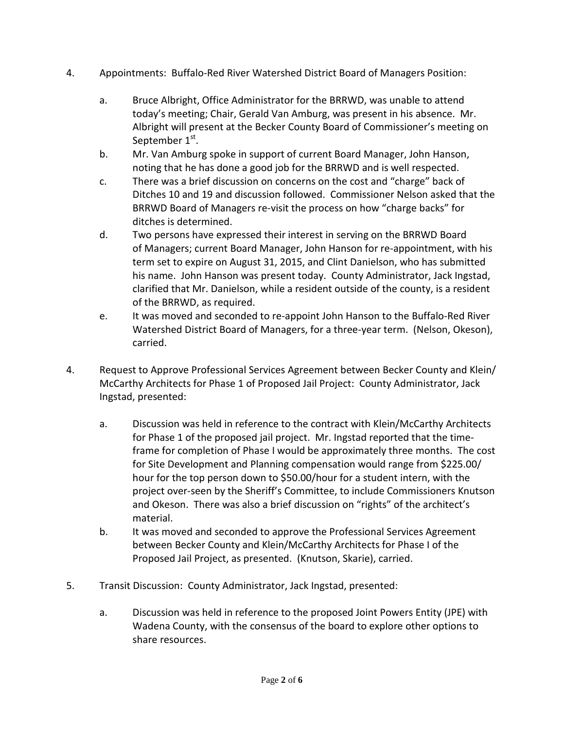- 4. Appointments: Buffalo-Red River Watershed District Board of Managers Position:
	- a. Bruce Albright, Office Administrator for the BRRWD, was unable to attend today's meeting; Chair, Gerald Van Amburg, was present in his absence. Mr. Albright will present at the Becker County Board of Commissioner's meeting on September 1<sup>st</sup>.
	- b. Mr. Van Amburg spoke in support of current Board Manager, John Hanson, noting that he has done a good job for the BRRWD and is well respected.
	- c. There was a brief discussion on concerns on the cost and "charge" back of Ditches 10 and 19 and discussion followed. Commissioner Nelson asked that the BRRWD Board of Managers re-visit the process on how "charge backs" for ditches is determined.
	- d. Two persons have expressed their interest in serving on the BRRWD Board of Managers; current Board Manager, John Hanson for re-appointment, with his term set to expire on August 31, 2015, and Clint Danielson, who has submitted his name. John Hanson was present today. County Administrator, Jack Ingstad, clarified that Mr. Danielson, while a resident outside of the county, is a resident of the BRRWD, as required.
	- e. It was moved and seconded to re-appoint John Hanson to the Buffalo-Red River Watershed District Board of Managers, for a three-year term. (Nelson, Okeson), carried.
- 4. Request to Approve Professional Services Agreement between Becker County and Klein/ McCarthy Architects for Phase 1 of Proposed Jail Project: County Administrator, Jack Ingstad, presented:
	- a. Discussion was held in reference to the contract with Klein/McCarthy Architects for Phase 1 of the proposed jail project. Mr. Ingstad reported that the timeframe for completion of Phase I would be approximately three months. The cost for Site Development and Planning compensation would range from \$225.00/ hour for the top person down to \$50.00/hour for a student intern, with the project over-seen by the Sheriff's Committee, to include Commissioners Knutson and Okeson. There was also a brief discussion on "rights" of the architect's material.
	- b. It was moved and seconded to approve the Professional Services Agreement between Becker County and Klein/McCarthy Architects for Phase I of the Proposed Jail Project, as presented. (Knutson, Skarie), carried.
- 5. Transit Discussion: County Administrator, Jack Ingstad, presented:
	- a. Discussion was held in reference to the proposed Joint Powers Entity (JPE) with Wadena County, with the consensus of the board to explore other options to share resources.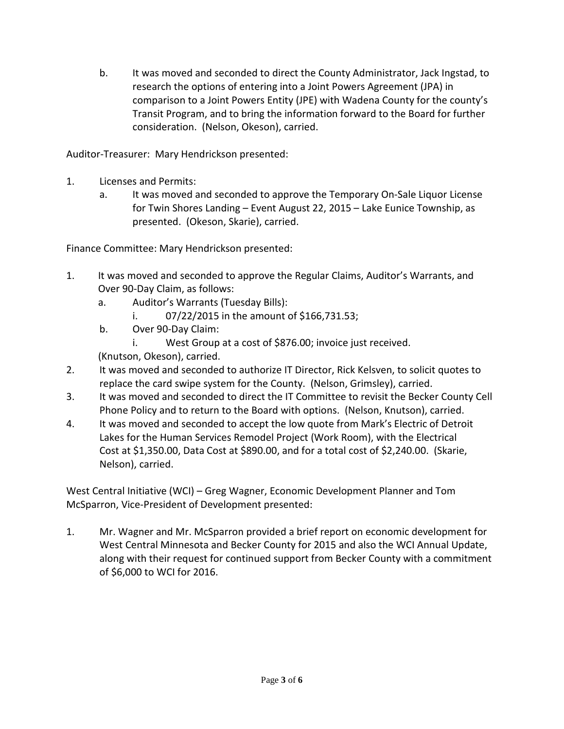b. It was moved and seconded to direct the County Administrator, Jack Ingstad, to research the options of entering into a Joint Powers Agreement (JPA) in comparison to a Joint Powers Entity (JPE) with Wadena County for the county's Transit Program, and to bring the information forward to the Board for further consideration. (Nelson, Okeson), carried.

Auditor-Treasurer: Mary Hendrickson presented:

- 1. Licenses and Permits:
	- a. It was moved and seconded to approve the Temporary On-Sale Liquor License for Twin Shores Landing – Event August 22, 2015 – Lake Eunice Township, as presented. (Okeson, Skarie), carried.

Finance Committee: Mary Hendrickson presented:

- 1. It was moved and seconded to approve the Regular Claims, Auditor's Warrants, and Over 90-Day Claim, as follows:
	- a. Auditor's Warrants (Tuesday Bills):
		- i. 07/22/2015 in the amount of \$166,731.53;
	- b. Over 90-Day Claim:
		- i. West Group at a cost of \$876.00; invoice just received.

(Knutson, Okeson), carried.

- 2. It was moved and seconded to authorize IT Director, Rick Kelsven, to solicit quotes to replace the card swipe system for the County. (Nelson, Grimsley), carried.
- 3. It was moved and seconded to direct the IT Committee to revisit the Becker County Cell Phone Policy and to return to the Board with options. (Nelson, Knutson), carried.
- 4. It was moved and seconded to accept the low quote from Mark's Electric of Detroit Lakes for the Human Services Remodel Project (Work Room), with the Electrical Cost at \$1,350.00, Data Cost at \$890.00, and for a total cost of \$2,240.00. (Skarie, Nelson), carried.

West Central Initiative (WCI) – Greg Wagner, Economic Development Planner and Tom McSparron, Vice-President of Development presented:

1. Mr. Wagner and Mr. McSparron provided a brief report on economic development for West Central Minnesota and Becker County for 2015 and also the WCI Annual Update, along with their request for continued support from Becker County with a commitment of \$6,000 to WCI for 2016.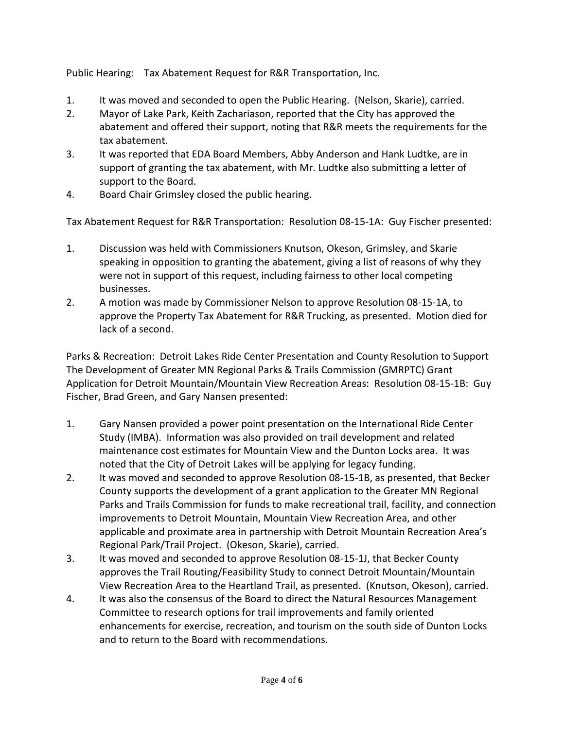Public Hearing: Tax Abatement Request for R&R Transportation, Inc.

- 1. It was moved and seconded to open the Public Hearing. (Nelson, Skarie), carried.
- 2. Mayor of Lake Park, Keith Zachariason, reported that the City has approved the abatement and offered their support, noting that R&R meets the requirements for the tax abatement.
- 3. It was reported that EDA Board Members, Abby Anderson and Hank Ludtke, are in support of granting the tax abatement, with Mr. Ludtke also submitting a letter of support to the Board.
- 4. Board Chair Grimsley closed the public hearing.

Tax Abatement Request for R&R Transportation: Resolution 08-15-1A: Guy Fischer presented:

- 1. Discussion was held with Commissioners Knutson, Okeson, Grimsley, and Skarie speaking in opposition to granting the abatement, giving a list of reasons of why they were not in support of this request, including fairness to other local competing businesses.
- 2. A motion was made by Commissioner Nelson to approve Resolution 08-15-1A, to approve the Property Tax Abatement for R&R Trucking, as presented. Motion died for lack of a second.

Parks & Recreation: Detroit Lakes Ride Center Presentation and County Resolution to Support The Development of Greater MN Regional Parks & Trails Commission (GMRPTC) Grant Application for Detroit Mountain/Mountain View Recreation Areas: Resolution 08-15-1B: Guy Fischer, Brad Green, and Gary Nansen presented:

- 1. Gary Nansen provided a power point presentation on the International Ride Center Study (IMBA). Information was also provided on trail development and related maintenance cost estimates for Mountain View and the Dunton Locks area. It was noted that the City of Detroit Lakes will be applying for legacy funding.
- 2. It was moved and seconded to approve Resolution 08-15-1B, as presented, that Becker County supports the development of a grant application to the Greater MN Regional Parks and Trails Commission for funds to make recreational trail, facility, and connection improvements to Detroit Mountain, Mountain View Recreation Area, and other applicable and proximate area in partnership with Detroit Mountain Recreation Area's Regional Park/Trail Project. (Okeson, Skarie), carried.
- 3. It was moved and seconded to approve Resolution 08-15-1J, that Becker County approves the Trail Routing/Feasibility Study to connect Detroit Mountain/Mountain View Recreation Area to the Heartland Trail, as presented. (Knutson, Okeson), carried.
- 4. It was also the consensus of the Board to direct the Natural Resources Management Committee to research options for trail improvements and family oriented enhancements for exercise, recreation, and tourism on the south side of Dunton Locks and to return to the Board with recommendations.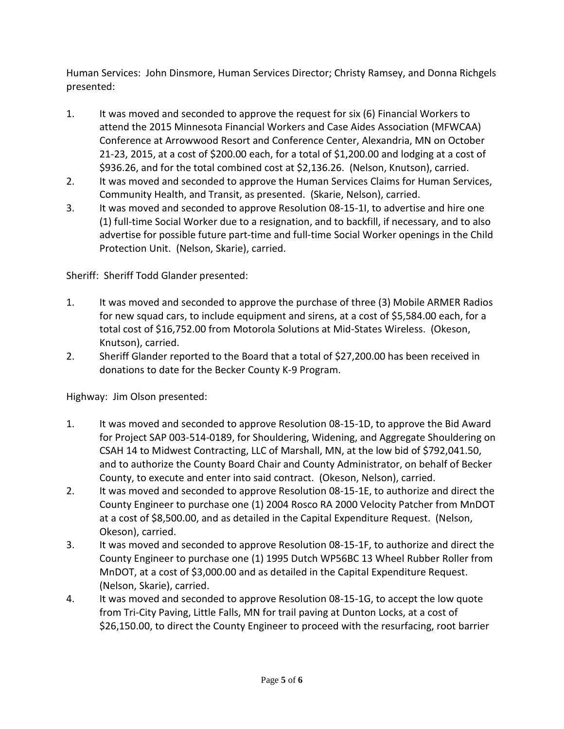Human Services: John Dinsmore, Human Services Director; Christy Ramsey, and Donna Richgels presented:

- 1. It was moved and seconded to approve the request for six (6) Financial Workers to attend the 2015 Minnesota Financial Workers and Case Aides Association (MFWCAA) Conference at Arrowwood Resort and Conference Center, Alexandria, MN on October 21-23, 2015, at a cost of \$200.00 each, for a total of \$1,200.00 and lodging at a cost of \$936.26, and for the total combined cost at \$2,136.26. (Nelson, Knutson), carried.
- 2. It was moved and seconded to approve the Human Services Claims for Human Services, Community Health, and Transit, as presented. (Skarie, Nelson), carried.
- 3. It was moved and seconded to approve Resolution 08-15-1I, to advertise and hire one (1) full-time Social Worker due to a resignation, and to backfill, if necessary, and to also advertise for possible future part-time and full-time Social Worker openings in the Child Protection Unit. (Nelson, Skarie), carried.

Sheriff: Sheriff Todd Glander presented:

- 1. It was moved and seconded to approve the purchase of three (3) Mobile ARMER Radios for new squad cars, to include equipment and sirens, at a cost of \$5,584.00 each, for a total cost of \$16,752.00 from Motorola Solutions at Mid-States Wireless. (Okeson, Knutson), carried.
- 2. Sheriff Glander reported to the Board that a total of \$27,200.00 has been received in donations to date for the Becker County K-9 Program.

Highway: Jim Olson presented:

- 1. It was moved and seconded to approve Resolution 08-15-1D, to approve the Bid Award for Project SAP 003-514-0189, for Shouldering, Widening, and Aggregate Shouldering on CSAH 14 to Midwest Contracting, LLC of Marshall, MN, at the low bid of \$792,041.50, and to authorize the County Board Chair and County Administrator, on behalf of Becker County, to execute and enter into said contract. (Okeson, Nelson), carried.
- 2. It was moved and seconded to approve Resolution 08-15-1E, to authorize and direct the County Engineer to purchase one (1) 2004 Rosco RA 2000 Velocity Patcher from MnDOT at a cost of \$8,500.00, and as detailed in the Capital Expenditure Request. (Nelson, Okeson), carried.
- 3. It was moved and seconded to approve Resolution 08-15-1F, to authorize and direct the County Engineer to purchase one (1) 1995 Dutch WP56BC 13 Wheel Rubber Roller from MnDOT, at a cost of \$3,000.00 and as detailed in the Capital Expenditure Request. (Nelson, Skarie), carried.
- 4. It was moved and seconded to approve Resolution 08-15-1G, to accept the low quote from Tri-City Paving, Little Falls, MN for trail paving at Dunton Locks, at a cost of \$26,150.00, to direct the County Engineer to proceed with the resurfacing, root barrier